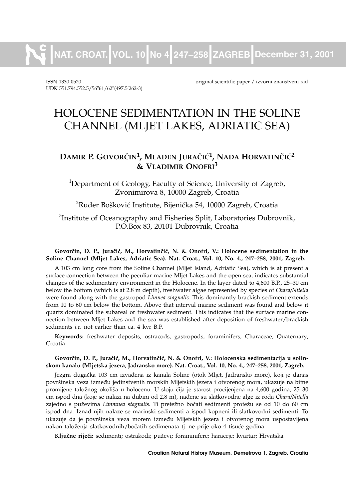**NAT. CROAT. VOL. 10 No 4 247–258 ZAGREB December 31, 2001**

UDK 551.794:552.5/56"61/62"(497.5. 262-3)

ISSN 1330-0520 original scientific paper / izvorni znanstveni rad

# HOLOCENE SEDIMENTATION IN THE SOLINE CHANNEL (MLJET LAKES, ADRIATIC SEA)

# **DAMIR P. GOVOR^IN1, MLADEN JURA^I]1, NADA HORVATIN^I]<sup>2</sup> & VLADIMIR ONOFRI<sup>3</sup>**

<sup>1</sup>Department of Geology, Faculty of Science, University of Zagreb, Zvonimirova 8, 10000 Zagreb, Croatia

 $^{2}$ Ruđer Bošković Institute, Bijenička 54, 10000 Zagreb, Croatia

 ${}^{3}$ Institute of Oceanography and Fisheries Split, Laboratories Dubrovnik, P.O.Box 83, 20101 Dubrovnik, Croatia

#### Govorčin, D. P., Juračić, M., Horvatinčić, N. & Onofri, V.: Holocene sedimentation in the **Soline Channel (Mljet Lakes, Adriatic Sea). Nat. Croat., Vol. 10, No. 4., 247–258, 2001, Zagreb.**

A 103 cm long core from the Soline Channel (Mljet Island, Adriatic Sea), which is at present a surface connection between the peculiar marine Mljet Lakes and the open sea, indicates substantial changes of the sedimentary environment in the Holocene. In the layer dated to 4,600 B.P., 25–30 cm below the bottom (which is at 2.8 m depth), freshwater algae represented by species of *Chara/Nitella* were found along with the gastropod *Limnea stagnalis*. This dominantly brackish sediment extends from 10 to 60 cm below the bottom. Above that interval marine sediment was found and below it quartz dominated the subareal or freshwater sediment. This indicates that the surface marine connection between Mljet Lakes and the sea was established after deposition of freshwater/brackish sediments *i.e.* not earlier than ca. 4 kyr B.P.

**Keywords:** freshwater deposits; ostracods; gastropods; foraminifers; Characeae; Quaternary; Croatia

#### Govorčin, D. P., Juračić, M., Horvatinčić, N. & Onofri, V.: Holocenska sedimentacija u solin**skom kanalu (Mljetska jezera, Jadransko more). Nat. Croat., Vol. 10, No. 4., 247–258, 2001, Zagreb.**

Jezgra dugačka 103 cm izvađena iz kanala Soline (otok Mljet, Jadransko more), koji je danas površinska veza između jedinstvenih morskih Mljetskih jezera i otvorenog mora, ukazuje na bitne promijene taložnog okoliša u holocenu. U sloju čija je starost procijenjena na 4,600 godina, 25–30 cm ispod dna (koje se nalazi na dubini od 2.8 m), nađene su slatkovodne alge iz roda Chara/Nitella zajedno s puževima *Limmnea stagnalis*. Ti pretežno bočati sedimenti protežu se od 10 do 60 cm ispod dna. Iznad njih nalaze se marinski sedimenti a ispod kopneni ili slatkovodni sedimenti. To ukazuje da je površinska veza morem između Mljetskih jezera i otvorenog mora uspostavljena nakon taloženja slatkovodnih/bočatih sedimenata tj. ne prije oko 4 tisuće godina.

**Klju~ne rije~i:** sedimenti; ostrakodi; pu`evi; foraminifere; haraceje; kvartar; Hrvatska

**Croatian Natural History Museum, Demetrova 1, Zagreb, Croatia**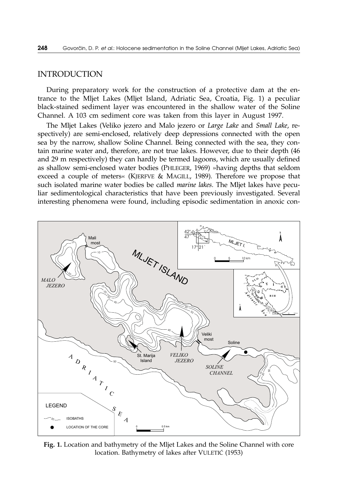# INTRODUCTION

During preparatory work for the construction of a protective dam at the entrance to the Mljet Lakes (Mljet Island, Adriatic Sea, Croatia, Fig. 1) a peculiar black-stained sediment layer was encountered in the shallow water of the Soline Channel. A 103 cm sediment core was taken from this layer in August 1997.

The Mljet Lakes (Veliko jezero and Malo jezero or *Large Lake* and *Small Lake*, respectively) are semi-enclosed, relatively deep depressions connected with the open sea by the narrow, shallow Soline Channel. Being connected with the sea, they contain marine water and, therefore, are not true lakes. However, due to their depth (46 and 29 m respectively) they can hardly be termed lagoons, which are usually defined as shallow semi-enclosed water bodies (PHLEGER, 1969) »having depths that seldom exceed a couple of meters« (KJERFVE & MAGILL, 1989)*.* Therefore we propose that such isolated marine water bodies be called *marine lakes*. The Mljet lakes have peculiar sedimentological characteristics that have been previously investigated. Several interesting phenomena were found, including episodic sedimentation in anoxic con-



**Fig. 1.** Location and bathymetry of the Mljet Lakes and the Soline Channel with core location. Bathymetry of lakes after VULETIĆ (1953)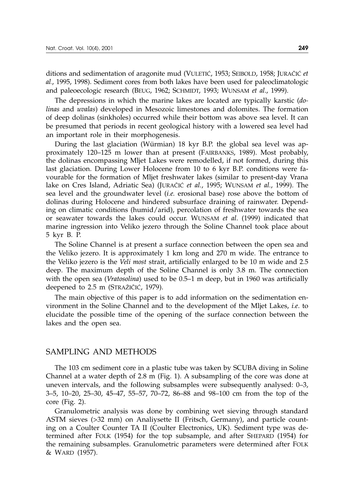ditions and sedimentation of aragonite mud (VULETIĆ, 1953; SEIBOLD, 1958; JURAČIĆ *et al*., 1995, 1998). Sediment cores from both lakes have been used for paleoclimatologic and paleoecologic research (BEUG, 1962; SCHMIDT, 1993; WUNSAM *et al*., 1999).

The depressions in which the marine lakes are located are typically karstic (*dolinas* and *uvalas*) developed in Mesozoic limestones and dolomites. The formation of deep dolinas (sinkholes) occurred while their bottom was above sea level. It can be presumed that periods in recent geological history with a lowered sea level had an important role in their morphogenesis.

During the last glaciation (Würmian) 18 kyr B.P. the global sea level was approximately 120–125 m lower than at present (FAIRBANKS, 1989). Most probably, the dolinas encompassing Mljet Lakes were remodelled, if not formed, during this last glaciation. During Lower Holocene from 10 to 6 kyr B.P. conditions were favourable for the formation of Mljet freshwater lakes (similar to present-day Vrana lake on Cres Island, Adriatic Sea) (JURAČIĆ *et al.*, 1995; WUNSAM *et al.*, 1999). The sea level and the groundwater level (*i.e.* erosional base) rose above the bottom of dolinas during Holocene and hindered subsurface draining of rainwater. Depending on climatic conditions (humid/arid), percolation of freshwater towards the sea or seawater towards the lakes could occur. WUNSAM *et al*. (1999) indicated that marine ingression into Veliko jezero through the Soline Channel took place about 5 kyr B. P.

The Soline Channel is at present a surface connection between the open sea and the Veliko jezero. It is approximately 1 km long and 270 m wide. The entrance to the Veliko jezero is the *Veli most* strait, artificially enlarged to be 10 m wide and 2.5 deep. The maximum depth of the Soline Channel is only 3.8 m. The connection with the open sea (*Vratosolina*) used to be 0.5–1 m deep, but in 1960 was artificially deepened to 2.5 m (STRAŽIČIĆ, 1979).

The main objective of this paper is to add information on the sedimentation environment in the Soline Channel and to the development of the Mljet Lakes, *i.e*. to elucidate the possible time of the opening of the surface connection between the lakes and the open sea.

# SAMPLING AND METHODS

The 103 cm sediment core in a plastic tube was taken by SCUBA diving in Soline Channel at a water depth of 2.8 m (Fig. 1). A subsampling of the core was done at uneven intervals, and the following subsamples were subsequently analysed: 0–3, 3–5, 10–20, 25–30, 45–47, 55–57, 70–72, 86–88 and 98–100 cm from the top of the core (Fig. 2).

Granulometric analysis was done by combining wet sieving through standard ASTM sieves (>32 mm) on Analiysette II (Fritsch, Germany), and particle counting on a Coulter Counter TA II (Coulter Electronics, UK). Sediment type was determined after FOLK (1954) for the top subsample, and after SHEPARD (1954) for the remaining subsamples. Granulometric parameters were determined after FOLK & WARD (1957).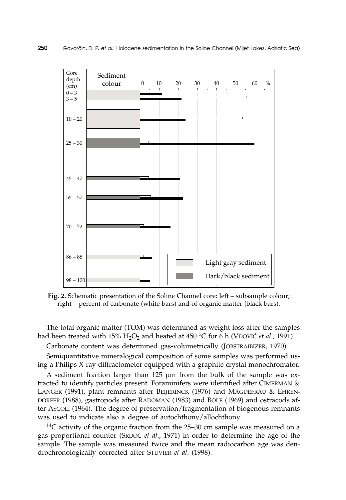

**Fig. 2.** Schematic presentation of the Soline Channel core: left – subsample colour; right – percent of carbonate (white bars) and of organic matter (black bars).

The total organic matter (TOM) was determined as weight loss after the samples had been treated with  $15\%$  H<sub>2</sub>O<sub>2</sub> and heated at  $450$  °C for 6 h (VDOVIC *et al.*, 1991).

Carbonate content was determined gas-volumetrically (JOBSTRAIBIZER, 1970).

Semiquantitative mineralogical composition of some samples was performed using a Philips X-ray diffractometer equipped with a graphite crystal monochromator.

A sediment fraction larger than 125 µm from the bulk of the sample was extracted to identify particles present. Foraminifers were identified after CIMERMAN & LANGER (1991), plant remnants after BEIJERINCK (1976) and MÄGDEFRAU & EHREN-DORFER (1988), gastropods after RADOMAN (1983) and BOLE (1969) and ostracods after ASCOLI (1964). The degree of preservation/fragmentation of biogenous remnants was used to indicate also a degree of autochthony/allochthony.

<sup>14</sup>C activity of the organic fraction from the 25–30 cm sample was measured on a gas proportional counter (SRDO^ *et al*., 1971) in order to determine the age of the sample. The sample was measured twice and the mean radiocarbon age was dendrochronologically corrected after STUVIER *et al*. (1998).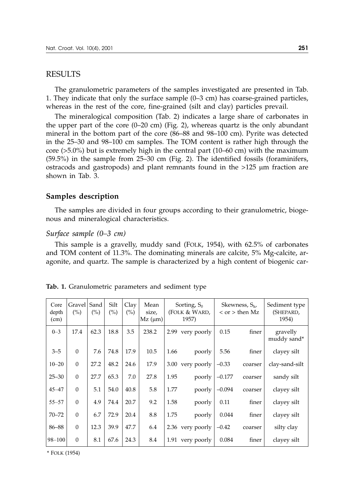#### RESULTS

The granulometric parameters of the samples investigated are presented in Tab. 1. They indicate that only the surface sample (0–3 cm) has coarse-grained particles, whereas in the rest of the core, fine-grained (silt and clay) particles prevail.

The mineralogical composition (Tab. 2) indicates a large share of carbonates in the upper part of the core (0–20 cm) (Fig. 2), whereas quartz is the only abundant mineral in the bottom part of the core (86–88 and 98–100 cm). Pyrite was detected in the 25–30 and 98–100 cm samples. The TOM content is rather high through the core (>5.0%) but is extremely high in the central part (10–60 cm) with the maximum (59.5%) in the sample from 25–30 cm (Fig. 2). The identified fossils (foraminifers, ostracods and gastropods) and plant remnants found in the >125 µm fraction are shown in Tab. 3.

#### **Samples description**

The samples are divided in four groups according to their granulometric, biogenous and mineralogical characteristics.

#### *Surface sample (0–3 cm)*

This sample is a gravelly, muddy sand (FOLK, 1954), with 62.5% of carbonates and TOM content of 11.3%. The dominating minerals are calcite, 5% Mg-calcite, aragonite, and quartz. The sample is characterized by a high content of biogenic car-

| Core<br>depth<br>(cm) | Gravel  <br>(%) | Sand<br>(%) | Silt<br>(%) | Clay<br>(%) | Mean<br>size,<br>$Mz$ ( $\mu$ m) |      | Sorting, $S_0$<br>(FOLK & WARD,<br>1957) |          | Skewness, $S_k$ ,<br>$<$ or $>$ then Mz | Sediment type<br>(SHEPARD,<br>1954) |  |
|-----------------------|-----------------|-------------|-------------|-------------|----------------------------------|------|------------------------------------------|----------|-----------------------------------------|-------------------------------------|--|
| $0 - 3$               | 17.4            | 62.3        | 18.8        | 3.5         | 238.2                            |      | 2.99 very poorly                         | 0.15     | finer                                   | gravelly<br>muddy sand*             |  |
| $3 - 5$               | $\Omega$        | 7.6         | 74.8        | 17.9        | 10.5                             | 1.66 | poorly                                   | 5.56     | finer                                   | clayey silt                         |  |
| $10 - 20$             | $\Omega$        | 27.2        | 48.2        | 24.6        | 17.9                             | 3.00 | very poorly                              | $-0.33$  | coarser                                 | clay-sand-silt                      |  |
| $25 - 30$             | $\Omega$        | 27.7        | 65.3        | 7.0         | 27.8                             | 1.95 | poorly                                   | $-0.177$ | coarser                                 | sandy silt                          |  |
| $45 - 47$             | $\Omega$        | 5.1         | 54.0        | 40.8        | 5.8                              | 1.77 | poorly                                   | $-0.094$ | coarser                                 | clayey silt                         |  |
| $55 - 57$             | $\Omega$        | 4.9         | 74.4        | 20.7        | 9.2                              | 1.58 | poorly                                   | 0.11     | finer                                   | clayey silt                         |  |
| $70 - 72$             | $\Omega$        | 6.7         | 72.9        | 20.4        | 8.8                              | 1.75 | poorly                                   | 0.044    | finer                                   | clayey silt                         |  |
| 86-88                 | $\Omega$        | 12.3        | 39.9        | 47.7        | 6.4                              |      | 2.36 very poorly                         | $-0.42$  | coarser                                 | silty clay                          |  |
| $98 - 100$            | $\Omega$        | 8.1         | 67.6        | 24.3        | 8.4                              |      | 1.91 very poorly                         | 0.084    | finer                                   | clayey silt                         |  |

\* FOLK (1954)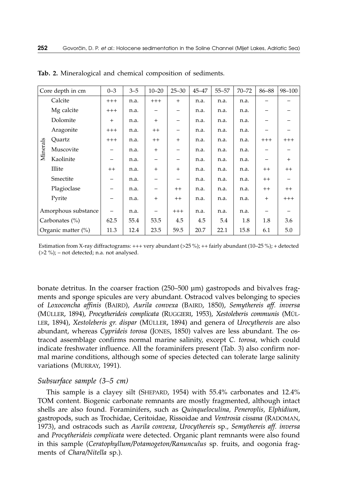| Core depth in cm    |             | $0 - 3$                        | $3 - 5$ | $10 - 20$ | $25 - 30$ | $45 - 47$ | $55 - 57$ | $70 - 72$ | 86-88                    | 98-100   |
|---------------------|-------------|--------------------------------|---------|-----------|-----------|-----------|-----------|-----------|--------------------------|----------|
| Minerals            | Calcite     | $+++$                          | n.a.    | $+++$     | $+$       | n.a.      | n.a.      | n.a.      |                          |          |
|                     | Mg calcite  | $^{+++}$                       | n.a.    | -         |           | n.a.      | n.a.      | n.a.      | -                        |          |
|                     | Dolomite    | $+$                            | n.a.    | $+$       | -         | n.a.      | n.a.      | n.a.      |                          |          |
|                     | Aragonite   | $^{+++}$                       | n.a.    | $^{++}$   |           | n.a.      | n.a.      | n.a.      |                          |          |
|                     | Quartz      | $+++$                          | n.a.    | $^{++}$   | $^{+}$    | n.a.      | n.a.      | n.a.      | $++++$                   | $++++$   |
|                     | Muscovite   | -                              | n.a.    | $+$       | -         | n.a.      | n.a.      | n.a.      | -                        |          |
|                     | Kaolinite   | $\qquad \qquad \longleftarrow$ | n.a.    |           | -         | n.a.      | n.a.      | n.a.      | -                        | $+$      |
|                     | Illite      | $^{++}$                        | n.a.    | $+$       | $^{+}$    | n.a.      | n.a.      | n.a.      | $^{++}$                  | $^{++}$  |
|                     | Smectite    | -                              | n.a.    |           |           | n.a.      | n.a.      | n.a.      | $^{++}$                  | -        |
|                     | Plagioclase |                                | n.a.    |           | $^{++}$   | n.a.      | n.a.      | n.a.      | $^{++}$                  | $^{++}$  |
|                     | Pyrite      |                                | n.a.    | $^{+}$    | $^{++}$   | n.a.      | n.a.      | n.a.      | $+$                      | $^{+++}$ |
| Amorphous substance |             | $\overline{\phantom{m}}$       | n.a.    |           | $+++$     | n.a.      | n.a.      | n.a.      | $\overline{\phantom{m}}$ |          |
| Carbonates $(\% )$  |             | 62.5                           | 55.4    | 53.5      | 4.5       | 4.5       | 5.4       | 1.8       | 1.8                      | 3.6      |
| Organic matter (%)  |             | 11.3                           | 12.4    | 23.5      | 59.5      | 20.7      | 22.1      | 15.8      | 6.1                      | 5.0      |

**Tab. 2.** Mineralogical and chemical composition of sediments.

Estimation from X-ray diffractograms:  $+++$  very abundant (>25 %);  $++$  fairly abundant (10–25 %); + detected  $(>2 \%)$ ; – not detected; n.a. not analysed.

bonate detritus. In the coarser fraction (250–500 µm) gastropods and bivalves fragments and sponge spicules are very abundant. Ostracod valves belonging to species of *Loxoconcha affinis* (BAIRD)*, Aurila convexa* (BAIRD, 1850), *Semythereis aff. inversa* (MÜLLER, 1894), *Procytherideis complicata* (RUGGIERI, 1953), *Xestoleberis communis* (MÜL-LER, 1894), *Xestoleberis gr. dispar* (MÜLLER, 1894) and genera of *Urocythereis* are also abundant, whereas *Cyprideis torosa* (JONES, 1850) valves are less abundant. The ostracod assemblage confirms normal marine salinity, except *C. torosa,* which could indicate freshwater influence. All the foraminifers present (Tab. 3) also confirm normal marine conditions, although some of species detected can tolerate large salinity variations (MURRAY, 1991).

## *Subsurface sample (3–5 cm)*

This sample is a clayey silt (SHEPARD, 1954) with 55.4% carbonates and 12.4% TOM content. Biogenic carbonate remnants are mostly fragmented, although intact shells are also found. Foraminifers, such as *Quinqueloculina, Peneroplis, Elphidium*, gastropods, such as Trochidae, Ceritoidae, Rissoidae and *Ventrosia cissana* (RADOMAN, 1973), and ostracods such as *Aurila convexa*, *Urocythereis* sp.*, Semythereis aff. inversa* and *Procytherideis complicata* were detected. Organic plant remnants were also found in this sample (*Ceratophyllum/Potamogeton/Ranunculus* sp. fruits, and oogonia fragments of *Chara/Nitella* sp.).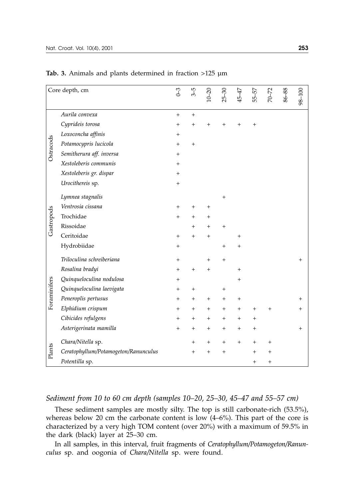| Core depth, cm |                                      | $0 - 3$ | $3 - 5$         | $10 - 20$      | $25 - 30$ | 45-47          | 55-57              | 70-72    | 86-88 | 98-100         |
|----------------|--------------------------------------|---------|-----------------|----------------|-----------|----------------|--------------------|----------|-------|----------------|
|                | Aurila convexa                       | $^{+}$  | $^{+}$          |                |           |                |                    |          |       |                |
| Ostracods      | Cyprideis torosa                     | $+$     | $^{+}$          | $+$            | $^{+}$    | $\, +$         | $^{+}$             |          |       |                |
|                | Loxoconcha affinis                   | $^+$    |                 |                |           |                |                    |          |       |                |
|                | Potamocypris lucicola                | $+$     | $^{+}$          |                |           |                |                    |          |       |                |
|                | Semitherura aff. inversa             | $+$     |                 |                |           |                |                    |          |       |                |
|                | Xestoleberis communis                | $^{+}$  |                 |                |           |                |                    |          |       |                |
|                | Xestoleberis gr. dispar              | $^{+}$  |                 |                |           |                |                    |          |       |                |
|                | Urocithereis sp.                     | $+$     |                 |                |           |                |                    |          |       |                |
|                | Lymnea stagnalis                     |         |                 |                | $^{+}$    |                |                    |          |       |                |
|                | Ventrosia cissana                    | $^+$    | $^+$            | $^{+}$         |           |                |                    |          |       |                |
| Gastropods     | Trochidae                            | $+$     | $^{+}$          | $\overline{+}$ |           |                |                    |          |       |                |
|                | Rissoidae                            |         | $^{+}$          | $^{+}$         | $\,{}^+$  |                |                    |          |       |                |
|                | Ceritoidae                           | $+$     | $^{+}$          | $^{+}$         |           | $^{+}$         |                    |          |       |                |
|                | Hydrobiidae                          | $+$     |                 |                | $^{+}$    | $^{+}$         |                    |          |       |                |
| Foraminifers   | Triloculina schreiberiana            | $+$     |                 | $+$            | $^{+}$    |                |                    |          |       | $\overline{+}$ |
|                | Rosalina bradyi                      | $^+$    | $^{+}$          | $^{+}$         |           | $\overline{+}$ |                    |          |       |                |
|                | Quinqueloculina nodulosa             | $^+$    |                 |                |           | $^{+}$         |                    |          |       |                |
|                | Quinqueloculina laevigata            | $+$     | $^{+}$          |                | $^{+}$    |                |                    |          |       |                |
|                | Peneroplis pertusus                  | $+$     | $^+$            | $^{+}$         | $^{+}$    | $^{+}$         |                    |          |       | $^{+}$         |
|                | Elphidium crispum                    | $+$     | $^{+}$          | $^{+}$         | $\,{}^+$  | $^{+}$         | $\,+\,$            | $\,{}^+$ |       | $\hbox{ }$     |
|                | Cibicides refulgens                  | $+$     | $^{+}$          | $\ddot{}$      | $+$       | $+$            | $+$                |          |       |                |
|                | Asterigerinata mamilla               | $^{+}$  | $^+$            | $^+$           | $^+$      | $\overline{+}$ | $\hspace{0.1mm} +$ |          |       | $\,{}^+$       |
| Plants         | Chara/Nitella sp.                    |         | $^+$            | $^{+}$         | $^+$      | $\overline{+}$ | $^{+}$             | $^+$     |       |                |
|                | Ceratophyllum/Potamogeton/Ranunculus |         | $\! + \!\!\!\!$ | $^{+}$         | $^{+}$    |                | $^{+}$             | $^{+}$   |       |                |
|                | Potentilla sp.                       |         |                 |                |           |                | $+$                | $^{+}$   |       |                |

**Tab. 3.** Animals and plants determined in fraction >125 µm

## *Sediment from 10 to 60 cm depth (samples 10–20, 25–30, 45–47 and 55–57 cm)*

These sediment samples are mostly silty. The top is still carbonate-rich (53.5%), whereas below 20 cm the carbonate content is low (4–6%). This part of the core is characterized by a very high TOM content (over 20%) with a maximum of 59.5% in the dark (black) layer at 25–30 cm.

In all samples, in this interval, fruit fragments of *Ceratophyllum/Potamogeton/Ranunculus* sp. and oogonia of *Chara/Nitella* sp. were found.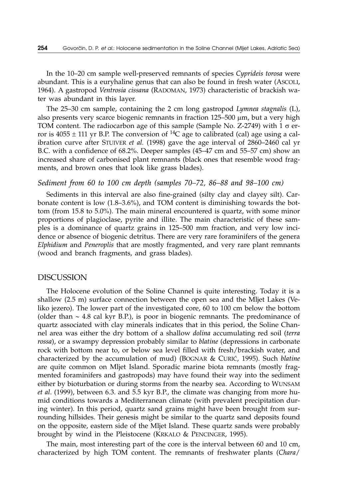In the 10–20 cm sample well-preserved remnants of species *Cyprideis torosa* were abundant. This is a euryhaline genus that can also be found in fresh water (ASCOLI, 1964). A gastropod *Ventrosia cissana* (RADOMAN, 1973) characteristic of brackish water was abundant in this layer.

The 25–30 cm sample, containing the 2 cm long gastropod *Lymnea stagnalis* (L), also presents very scarce biogenic remnants in fraction  $125-500 \mu m$ , but a very high TOM content. The radiocarbon age of this sample (Sample No. Z-2749) with  $1 \sigma$  error is  $4055 \pm 111$  yr B.P. The conversion of <sup>14</sup>C age to calibrated (cal) age using a calibration curve after STUIVER *et al.* (1998) gave the age interval of 2860–2460 cal yr B.C. with a confidence of 68.2%. Deeper samples (45–47 cm and 55–57 cm) show an increased share of carbonised plant remnants (black ones that resemble wood fragments, and brown ones that look like grass blades).

#### *Sediment from 60 to 100 cm depth (samples 70–72, 86–88 and 98–100 cm)*

Sediments in this interval are also fine-grained (silty clay and clayey silt). Carbonate content is low (1.8–3.6%), and TOM content is diminishing towards the bottom (from 15.8 to 5.0%). The main mineral encountered is quartz, with some minor proportions of plagioclase, pyrite and illite. The main characteristic of these samples is a dominance of quartz grains in 125–500 mm fraction, and very low incidence or absence of biogenic detritus. There are very rare foraminifers of the genera *Elphidium* and *Peneroplis* that are mostly fragmented, and very rare plant remnants (wood and branch fragments, and grass blades).

#### DISCUSSION

The Holocene evolution of the Soline Channel is quite interesting. Today it is a shallow (2.5 m) surface connection between the open sea and the Mljet Lakes (Veliko jezero). The lower part of the investigated core, 60 to 100 cm below the bottom (older than  $\sim$  4.8 cal kyr B.P.), is poor in biogenic remnants. The predominance of quartz associated with clay minerals indicates that in this period, the Soline Channel area was either the dry bottom of a shallow *dolina* accumulating red soil (*terra rossa*), or a swampy depression probably similar to *blatine* (depressions in carbonate rock with bottom near to, or below sea level filled with fresh/brackish water, and characterized by the accumulation of mud) (BOGNAR & CURIĆ, 1995). Such *blatine* are quite common on Mljet Island. Sporadic marine biota remnants (mostly fragmented foraminifers and gastropods) may have found their way into the sediment either by bioturbation or during storms from the nearby sea. According to WUNSAM *et al*. (1999), between 6.3. and 5.5 kyr B.P., the climate was changing from more humid conditions towards a Mediterranean climate (with prevalent precipitation during winter). In this period, quartz sand grains might have been brought from surrounding hillsides. Their genesis might be similar to the quartz sand deposits found on the opposite, eastern side of the Mljet Island. These quartz sands were probably brought by wind in the Pleistocene (KRKALO & PENCINGER, 1995).

The main, most interesting part of the core is the interval between 60 and 10 cm, characterized by high TOM content. The remnants of freshwater plants (*Chara*/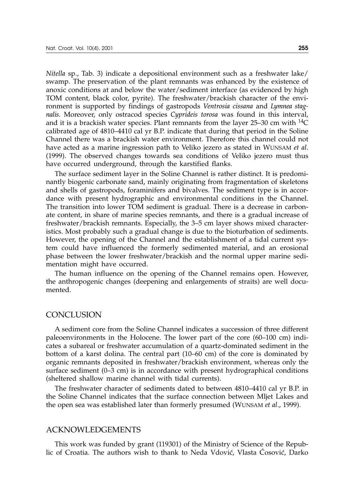*Nitella* sp., Tab. 3) indicate a depositional environment such as a freshwater lake/ swamp. The preservation of the plant remnants was enhanced by the existence of anoxic conditions at and below the water/sediment interface (as evidenced by high TOM content, black color, pyrite). The freshwater/brackish character of the environment is supported by findings of gastropods *Ventrosia cissana* and *Lymnea stagnalis*. Moreover, only ostracod species *Cyprideis torosa* was found in this interval, and it is a brackish water species. Plant remnants from the layer  $25-30$  cm with  $14C$ calibrated age of 4810–4410 cal yr B.P. indicate that during that period in the Soline Channel there was a brackish water environment. Therefore this channel could not have acted as a marine ingression path to Veliko jezero as stated in WUNSAM *et al*. (1999). The observed changes towards sea conditions of Veliko jezero must thus have occurred underground, through the karstified flanks.

The surface sediment layer in the Soline Channel is rather distinct. It is predominantly biogenic carbonate sand, mainly originating from fragmentation of skeletons and shells of gastropods, foraminifers and bivalves. The sediment type is in accordance with present hydrographic and environmental conditions in the Channel. The transition into lower TOM sediment is gradual. There is a decrease in carbonate content, in share of marine species remnants, and there is a gradual increase of freshwater/brackish remnants. Especially, the 3–5 cm layer shows mixed characteristics. Most probably such a gradual change is due to the bioturbation of sediments. However, the opening of the Channel and the establishment of a tidal current system could have influenced the formerly sedimented material, and an erosional phase between the lower freshwater/brackish and the normal upper marine sedimentation might have occurred.

The human influence on the opening of the Channel remains open. However, the anthropogenic changes (deepening and enlargements of straits) are well documented.

#### CONCLUSION

A sediment core from the Soline Channel indicates a succession of three different paleoenvironments in the Holocene. The lower part of the core (60–100 cm) indicates a subareal or freshwater accumulation of a quartz-dominated sediment in the bottom of a karst dolina. The central part (10–60 cm) of the core is dominated by organic remnants deposited in freshwater/brackish environment, whereas only the surface sediment (0–3 cm) is in accordance with present hydrographical conditions (sheltered shallow marine channel with tidal currents).

The freshwater character of sediments dated to between 4810–4410 cal yr B.P. in the Soline Channel indicates that the surface connection between Mljet Lakes and the open sea was established later than formerly presumed (WUNSAM *et al*., 1999).

## ACKNOWLEDGEMENTS

This work was funded by grant (119301) of the Ministry of Science of the Republic of Croatia. The authors wish to thank to Neda Vdović, Vlasta Cosović, Darko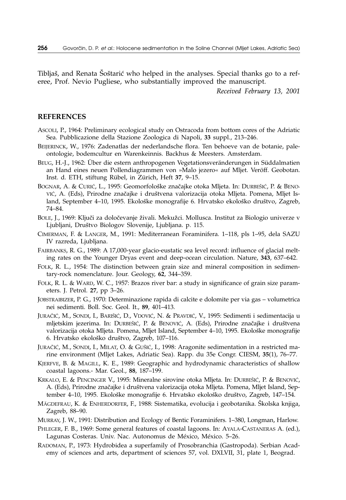Tibljaš, and Renata Šoštarić who helped in the analyses. Special thanks go to a referee, Prof. Nevio Pugliese, who substantially improved the manuscript.

*Received February 13, 2001*

#### **REFERENCES**

- ASCOLI, P., 1964: Preliminary ecological study on Ostracoda from bottom cores of the Adriatic Sea. Pubblicazione della Stazione Zoologica di Napoli, **33** suppl., 213–246.
- BEIJERINCK, W., 1976: Zadenatlas der nederlandsche flora. Ten behoeve van de botanie, paleontologie, bodemcultur en Warenkeinnis. Backhus & Meesters. Amsterdam.
- BEUG, H.-J., 1962: Über die estern anthropogenen Vegetationsveränderungen in Süddalmatien an Hand eines neuen Pollendiagrammen von »Malo jezero« auf Mljet. Veröff. Geobotan. Inst. d. ETH, stiftung Rübel, in Zürich, Heft **37**, 9–15.
- BOGNAR, A. & CURIĆ, L., 1995: Geomorfološke značajke otoka Mljeta. In: DURBEŠIĆ, P. & BENO-VIĆ, A. (Eds), Prirodne značajke i društvena valorizacija otoka Mljeta. Pomena, Mljet Island, September 4–10, 1995. Ekološke monografije 6. Hrvatsko ekološko društvo, Zagreb, 74–84.
- BOLE, J., 1969: Ključi za določevanje živali. Mekužci. Mollusca. Institut za Biologio univerze v Ljubljani, Društvo Biologov Slovenije, Ljubljana. p. 115.
- CIMERMAN, F. & LANGER, M., 1991: Mediterranean Foraminifera*.* 1–118, pls 1–95, dela SAZU IV razreda, Ljubljana.
- FAIRBANKS, R. G., 1989: A 17,000-year glacio-eustatic sea level record: influence of glacial melting rates on the Younger Dryas event and deep-ocean circulation. Nature, **343**, 637–642.
- FOLK, R. L., 1954: The distinction between grain size and mineral composition in sedimentary-rock nomenclature. Jour. Geology, **62**, 344–359.
- FOLK, R. L. & WARD, W. C., 1957: Brazos river bar: a study in significance of grain size parameters. J. Petrol. **27**, pp 3–26.
- JOBSTRAIBIZER, P. G., 1970: Determinazione rapida di calcite e dolomite per via gas volumetrica nei sedimenti. Boll. Soc. Geol. It., **89**, 401–413.
- JURAČIĆ, M., SONDI, I., BARIŠIĆ, D., VDOVIĆ, N. & PRAVDIĆ, V., 1995: Sedimenti i sedimentacija u mljetskim jezerima. In: DURBEŠIĆ, P. & BENOVIĆ, A. (Eds), Prirodne značajke i društvena valorizacija otoka Mljeta. Pomena, Mljet Island, September 4–10, 1995. Ekološke monografije 6. Hrvatsko ekološko društvo, Zagreb, 107-116.
- JURAČIĆ, M., SONDI, I., MILAT, O. & GUŠIĆ, I., 1998: Aragonite sedimentation in a restricted marine environment (Mljet Lakes, Adriatic Sea). Rapp. du 35e Congr. CIESM, **35**(1), 76–77.
- KJERFVE, B. & MAGILL, K. E., 1989: Geographic and hydrodynamic characteristics of shallow coastal lagoons.- Mar. Geol., **88**, 187–199.
- KRKALO, E. & PENCINGER V., 1995: Mineralne sirovine otoka Mljeta. In: DURBEŠIĆ, P. & BENOVIĆ, A. (Eds), Prirodne značajke i društvena valorizacija otoka Mljeta. Pomena, Mljet Island, September 4–10, 1995. Ekološke monografije 6. Hrvatsko ekološko društvo, Zagreb, 147–154.
- MÄGDEFRAU, K. & ENHERDORFER, F., 1988: Sistematika, evolucija i geobotanika. Školska knjiga, Zagreb, 88–90.
- MURRAY, J. W., 1991: Distribution and Ecology of Bentic Foraminifers*.* 1–380, Longman, Harlow.
- PHLEGER, F. B., 1969: Some general features of coastal lagoons. In: AYALA-CASTANERAS A. (ed.), Lagunas Costeras. Univ. Nac. Autonomus de México, México. 5–26.
- RADOMAN, P., 1973: Hydrobidea a superfamily of Prosobranchia (Gastropoda). Serbian Academy of sciences and arts, department of sciences 57, vol. DXLVII, 31, plate 1, Beograd.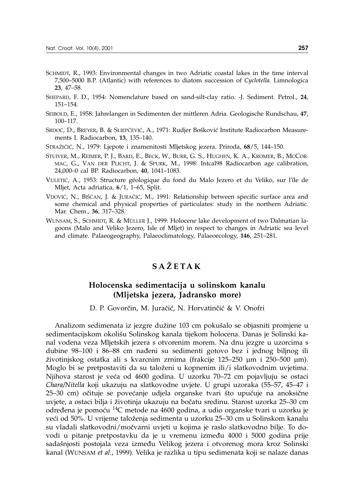- SCHMIDT, R., 1993: Environmental changes in two Adriatic coastal lakes in the time interval 7,500–5000 B.P. (Atlantic) with references to diatom succession of *Cyclotella*. Limnologica **23**, 47–58.
- SHEPARD, F. D., 1954: Nomenclature based on sand-silt-clay ratio. -J. Sediment. Petrol., **24**, 151–154.
- SEIBOLD, E., 1958: Jahrelangen in Sedimenten der mittleren Adria. Geologische Rundschau, **47**, 100–117.
- SRDOČ, D., BREYER, B. & SLIEPČEVIĆ, A., 1971: Rudjer Bošković Institute Radiocarbon Measurements I. Radiocarbon, **13**, 135–140.
- STRAŽIČIĆ, N., 1979: Ljepote i znamenitosti Mljetskog jezera. Priroda, 68/5, 144–150.
- STUIVER, M., REIMER, P. J., BARD, E., BECK, W., BURR, G. S., HUGHEN, K. A., KROMER, B., MCCOR-MAC, G., VAN DER PLICHT, J. & SPURK, M., 1998: Intcal98 Radiocarbon age calibration, 24,000–0 cal BP. Radiocarbon, **40**, 1041–1083.
- VULETIĆ, A., 1953: Structure géologique du fond du Malo Jezero et du Veliko, sur l'île de Mljet, Acta adriatica*,* **6**/1, 1–65, Split.
- VDOVIĆ, N., BIŠĆAN, J. & JURAČIĆ, M., 1991: Relationship between specific surface area and some chemical and physical properties of particulates: study in the northern Adriatic. Mar. Chem., **36**, 317–328.
- WUNSAM, S., SCHMIDT, R. & MÜLLER J., 1999: Holocene lake development of two Dalmatian lagoons (Malo and Veliko Jezero, Isle of Mljet) in respect to changes in Adriatic sea level and climate. Palaeogeography, Palaeoclimatology, Palaeoecology, **146**, 251–281.

# **SA@ETAK**

# **Holocenska sedimentacija u solinskom kanalu (Mljetska jezera, Jadransko more)**

D. P. Govorčin, M. Juračić, N. Horvatinčić & V. Onofri

Analizom sedimenata iz jezgre dužine 103 cm pokušalo se objasniti promjene u sedimentacijskom okolišu Solinskog kanala tijekom holocena. Danas je Solinski kanal vodena veza Mljetskih jezera s otvorenim morem. Na dnu jezgre u uzorcima s dubine 98–100 i 86–88 cm nađeni su sedimenti gotovo bez i jednog biljnog ili `ivotinjskog ostatka ali s kvarcnim zrnima (frakcije 125–250 µm i 250–500 µm). Moglo bi se pretpostaviti da su taloženi u kopnenim ili/i slatkovodnim uvjetima. Njihova starost je ve}a od 4600 godina. U uzorku 70–72 cm pojavljuju se ostaci *Chara/Nitella* koji ukazuju na slatkovodne uvjete. U grupi uzoraka (55–57, 45–47 i 25–30 cm) očituje se povećanje udjela organske tvari što upućuje na anoksične uvjete, a ostaci bilja i životinja ukazuju na bočatu sredinu. Starost uzorka 25–30 cm određena je pomoću <sup>14</sup>C metode na 4600 godina, a udio organske tvari u uzorku je veći od 50%. U vrijeme taloženja sedimenta u uzorku 25–30 cm u Solinskom kanalu su vladali slatkovodni/močvarni uvjeti u kojima je raslo slatkovodno bilje. To dovodi u pitanje pretpostavku da je u vremenu između 4000 i 5000 godina prije sadašnjosti postojala veza između Velikog jezera i otvorenog mora kroz Solinski kanal (WUNSAM *et al*., 1999). Velika je razlika u tipu sedimenata koji se nalaze danas